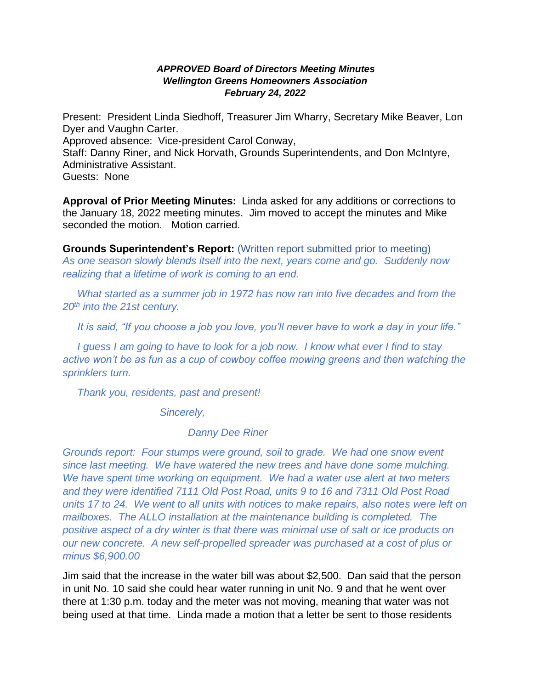## *APPROVED Board of Directors Meeting Minutes Wellington Greens Homeowners Association February 24, 2022*

Present: President Linda Siedhoff, Treasurer Jim Wharry, Secretary Mike Beaver, Lon Dyer and Vaughn Carter.

Approved absence: Vice-president Carol Conway,

Staff: Danny Riner, and Nick Horvath, Grounds Superintendents, and Don McIntyre, Administrative Assistant.

Guests: None

**Approval of Prior Meeting Minutes:** Linda asked for any additions or corrections to the January 18, 2022 meeting minutes. Jim moved to accept the minutes and Mike seconded the motion. Motion carried.

**Grounds Superintendent's Report:** (Written report submitted prior to meeting) *As one season slowly blends itself into the next, years come and go. Suddenly now realizing that a lifetime of work is coming to an end.* 

 *What started as a summer job in 1972 has now ran into five decades and from the 20th into the 21st century.*

 *It is said, "If you choose a job you love, you'll never have to work a day in your life."*

 *I guess I am going to have to look for a job now. I know what ever I find to stay active won't be as fun as a cup of cowboy coffee mowing greens and then watching the sprinklers turn.*

 *Thank you, residents, past and present!*

*Sincerely,*

*Danny Dee Riner*

*Grounds report: Four stumps were ground, soil to grade. We had one snow event since last meeting. We have watered the new trees and have done some mulching. We have spent time working on equipment. We had a water use alert at two meters and they were identified 7111 Old Post Road, units 9 to 16 and 7311 Old Post Road units 17 to 24. We went to all units with notices to make repairs, also notes were left on mailboxes. The ALLO installation at the maintenance building is completed. The positive aspect of a dry winter is that there was minimal use of salt or ice products on our new concrete. A new self-propelled spreader was purchased at a cost of plus or minus \$6,900.00*

Jim said that the increase in the water bill was about \$2,500. Dan said that the person in unit No. 10 said she could hear water running in unit No. 9 and that he went over there at 1:30 p.m. today and the meter was not moving, meaning that water was not being used at that time. Linda made a motion that a letter be sent to those residents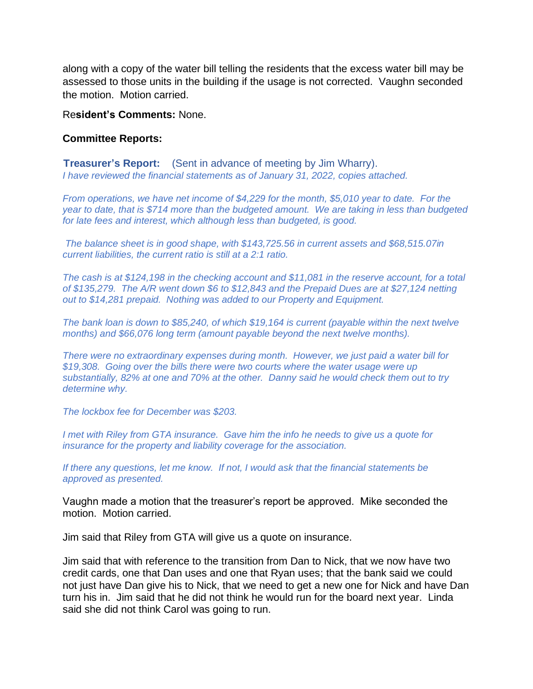along with a copy of the water bill telling the residents that the excess water bill may be assessed to those units in the building if the usage is not corrected. Vaughn seconded the motion. Motion carried.

## Re**sident's Comments:** None.

## **Committee Reports:**

**Treasurer's Report:** (Sent in advance of meeting by Jim Wharry). *I have reviewed the financial statements as of January 31, 2022, copies attached.*

*From operations, we have net income of \$4,229 for the month, \$5,010 year to date. For the year to date, that is \$714 more than the budgeted amount. We are taking in less than budgeted for late fees and interest, which although less than budgeted, is good.*

*The balance sheet is in good shape, with \$143,725.56 in current assets and \$68,515.07in current liabilities, the current ratio is still at a 2:1 ratio.*

*The cash is at \$124,198 in the checking account and \$11,081 in the reserve account, for a total of \$135,279. The A/R went down \$6 to \$12,843 and the Prepaid Dues are at \$27,124 netting out to \$14,281 prepaid. Nothing was added to our Property and Equipment.*

*The bank loan is down to \$85,240, of which \$19,164 is current (payable within the next twelve months) and \$66,076 long term (amount payable beyond the next twelve months).*

*There were no extraordinary expenses during month. However, we just paid a water bill for \$19,308. Going over the bills there were two courts where the water usage were up substantially, 82% at one and 70% at the other. Danny said he would check them out to try determine why.*

*The lockbox fee for December was \$203.*

*I met with Riley from GTA insurance. Gave him the info he needs to give us a quote for insurance for the property and liability coverage for the association.*

*If there any questions, let me know. If not, I would ask that the financial statements be approved as presented.*

Vaughn made a motion that the treasurer's report be approved. Mike seconded the motion. Motion carried.

Jim said that Riley from GTA will give us a quote on insurance.

Jim said that with reference to the transition from Dan to Nick, that we now have two credit cards, one that Dan uses and one that Ryan uses; that the bank said we could not just have Dan give his to Nick, that we need to get a new one for Nick and have Dan turn his in. Jim said that he did not think he would run for the board next year. Linda said she did not think Carol was going to run.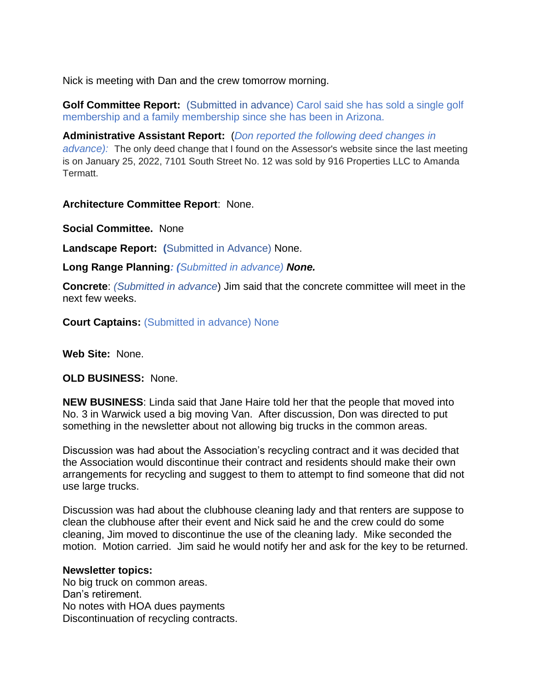Nick is meeting with Dan and the crew tomorrow morning.

**Golf Committee Report:** (Submitted in advance) Carol said she has sold a single golf membership and a family membership since she has been in Arizona.

**Administrative Assistant Report:** (*Don reported the following deed changes in advance):* The only deed change that I found on the Assessor's website since the last meeting is on January 25, 2022, 7101 South Street No. 12 was sold by 916 Properties LLC to Amanda Termatt.

**Architecture Committee Report**: None.

**Social Committee.** None

**Landscape Report: (**Submitted in Advance) None.

**Long Range Planning***: (Submitted in advance) None.*

**Concrete**: *(Submitted in advance*) Jim said that the concrete committee will meet in the next few weeks.

**Court Captains:** (Submitted in advance) None

**Web Site:** None.

**OLD BUSINESS:** None.

**NEW BUSINESS**: Linda said that Jane Haire told her that the people that moved into No. 3 in Warwick used a big moving Van. After discussion, Don was directed to put something in the newsletter about not allowing big trucks in the common areas.

Discussion was had about the Association's recycling contract and it was decided that the Association would discontinue their contract and residents should make their own arrangements for recycling and suggest to them to attempt to find someone that did not use large trucks.

Discussion was had about the clubhouse cleaning lady and that renters are suppose to clean the clubhouse after their event and Nick said he and the crew could do some cleaning, Jim moved to discontinue the use of the cleaning lady. Mike seconded the motion. Motion carried. Jim said he would notify her and ask for the key to be returned.

## **Newsletter topics:**

No big truck on common areas. Dan's retirement. No notes with HOA dues payments Discontinuation of recycling contracts.